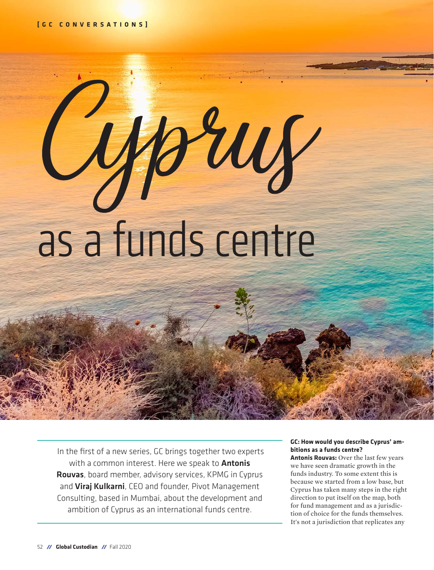# rruf as a funds centre

 In the first of a new series, GC brings together two experts with a common interest. Here we speak to **Antonis** Rouvas, board member, advisory services, KPMG in Cyprus and Viraj Kulkarni, CEO and founder, Pivot Management Consulting, based in Mumbai, about the development and ambition of Cyprus as an international funds centre.

### **GC: How would you describe Cyprus' ambitions as a funds centre?**

**Antonis Rouvas:** Over the last few years we have seen dramatic growth in the funds industry. To some extent this is because we started from a low base, but Cyprus has taken many steps in the right direction to put itself on the map, both for fund management and as a jurisdiction of choice for the funds themselves. It's not a jurisdiction that replicates any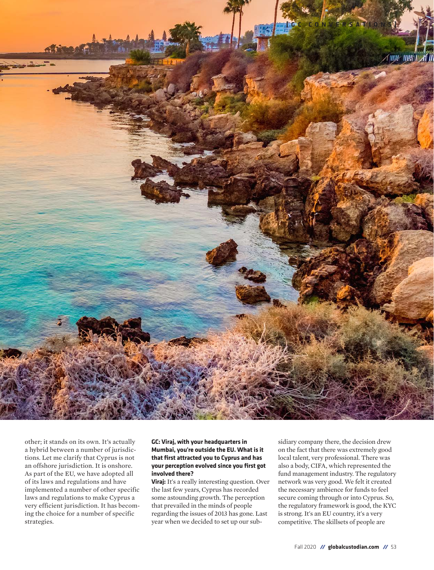

other; it stands on its own. It's actually a hybrid between a number of jurisdictions. Let me clarify that Cyprus is not an offshore jurisdiction. It is onshore. As part of the EU, we have adopted all of its laws and regulations and have implemented a number of other specific laws and regulations to make Cyprus a very efficient jurisdiction. It has becoming the choice for a number of specific strategies.

### **GC: Viraj, with your headquarters in Mumbai, you're outside the EU. What is it that first attracted you to Cyprus and has your perception evolved since you first got involved there?**

**Viraj:** It's a really interesting question. Over the last few years, Cyprus has recorded some astounding growth. The perception that prevailed in the minds of people regarding the issues of 2013 has gone. Last year when we decided to set up our subsidiary company there, the decision drew on the fact that there was extremely good local talent, very professional. There was also a body, CIFA, which represented the fund management industry. The regulatory network was very good. We felt it created the necessary ambience for funds to feel secure coming through or into Cyprus. So, the regulatory framework is good, the KYC is strong. It's an EU country, it's a very competitive. The skillsets of people are